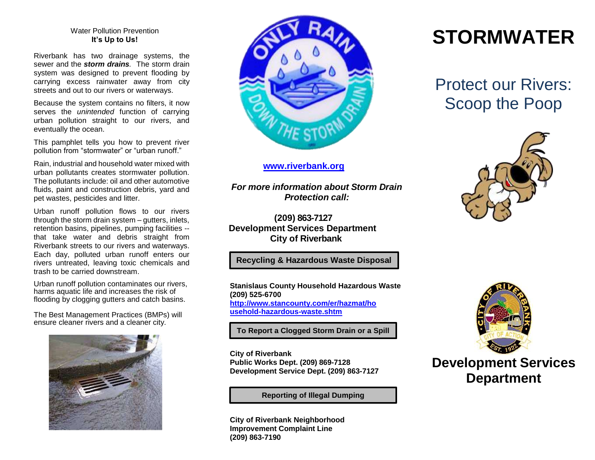#### Water Pollution Prevention **It's Up to Us!**

Riverbank has two drainage systems, the sewer and the *storm drains.* The storm drain system was designed to prevent flooding by carrying excess rainwater away from city streets and out to our rivers or waterways.

Because the system contains no filters, it now serves the *unintended* function of carrying urban pollution straight to our rivers, and eventually the ocean.

This pamphlet tells you how to prevent river pollution from "stormwater" or "urban runoff."

Rain, industrial and household water mixed with urban pollutants creates stormwater pollution. The pollutants include: oil and other automotive fluids, paint and construction debris, yard and pet wastes, pesticides and litter.

Urban runoff pollution flows to our rivers through the storm drain system – gutters, inlets, retention basins, pipelines, pumping facilities - that take water and debris straight from Riverbank streets to our rivers and waterways. Each day, polluted urban runoff enters our rivers untreated, leaving toxic chemicals and trash to be carried downstream.

Urban runoff pollution contaminates our rivers, harms aquatic life and increases the risk of flooding by clogging gutters and catch basins.

The Best Management Practices (BMPs) will ensure cleaner rivers and a cleaner city.





#### **[www.riverbank.org](http://www.riverbank.org/)**

*For more information about Storm Drain Protection call:*

**(209) 863-7127 Development Services Department City of Riverbank**

#### **Recycling & Hazardous Waste Disposal**

**Stanislaus County Household Hazardous Waste (209) 525-6700 [http://www.stancounty.com/er/hazmat/ho](http://www.stancounty.com/er/hazmat/household-hazardous-waste.shtm) [usehold-hazardous-waste.shtm](http://www.stancounty.com/er/hazmat/household-hazardous-waste.shtm)**

**To Report a Clogged Storm Drain or a Spill**

**City of Riverbank Public Works Dept. (209) 869-7128 Development Service Dept. (209) 863-7127**

**Reporting of Illegal Dumping**

**City of Riverbank Neighborhood Improvement Complaint Line (209) 863-7190**

# **STORMWATER**

Protect our Rivers: Scoop the Poop





# **Development Services Department**